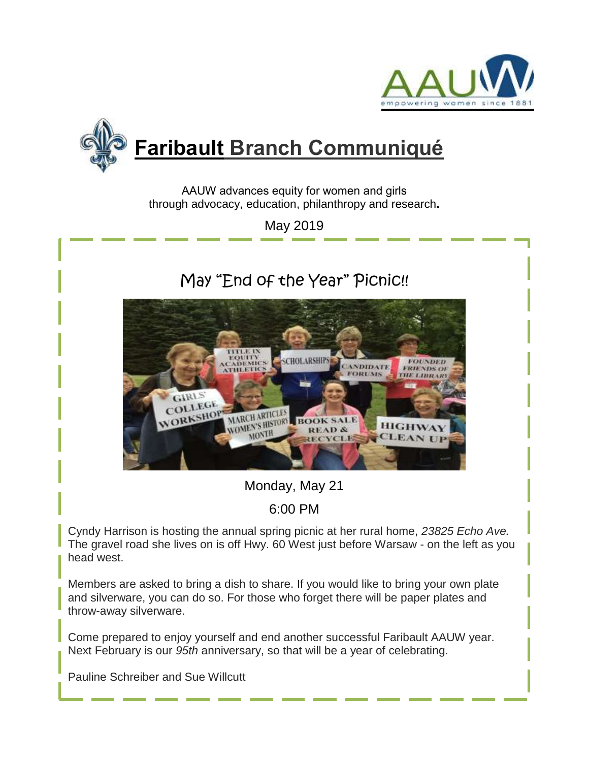



AAUW advances equity for women and girls through advocacy, education, philanthropy and research**.**

May 2019

# May "End of the Year" Picnic!!



Monday, May 21

# 6:00 PM

Cyndy Harrison is hosting the annual spring picnic at her rural home, *23825 Echo Ave.* The gravel road she lives on is off Hwy. 60 West just before Warsaw - on the left as you head west.

Members are asked to bring a dish to share. If you would like to bring your own plate and silverware, you can do so. For those who forget there will be paper plates and throw-away silverware.

Come prepared to enjoy yourself and end another successful Faribault AAUW year. Next February is our *95th* anniversary, so that will be a year of celebrating.

Pauline Schreiber and Sue Willcutt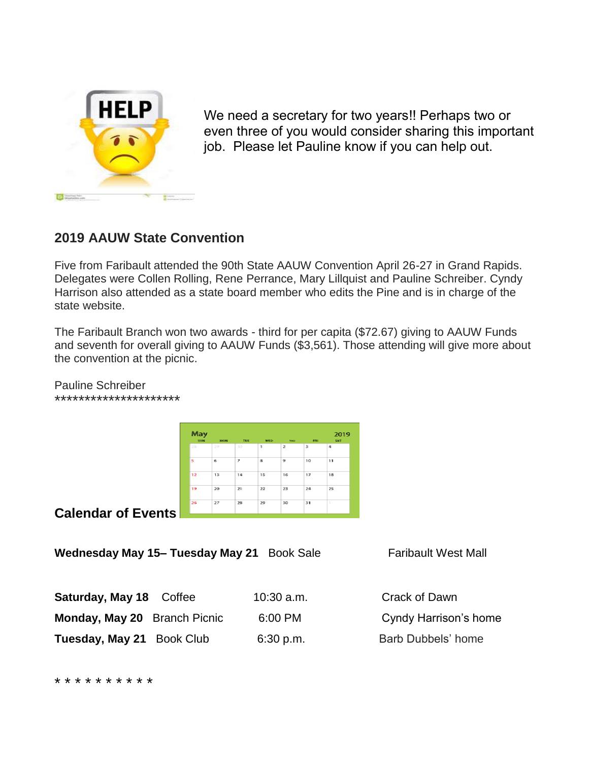

We need a secretary for two years!! Perhaps two or even three of you would consider sharing this important job. Please let Pauline know if you can help out.

# **2019 AAUW State Convention**

Five from Faribault attended the 90th State AAUW Convention April 26-27 in Grand Rapids. Delegates were Collen Rolling, Rene Perrance, Mary Lillquist and Pauline Schreiber. Cyndy Harrison also attended as a state board member who edits the Pine and is in charge of the state website.

The Faribault Branch won two awards - third for per capita (\$72.67) giving to AAUW Funds and seventh for overall giving to AAUW Funds (\$3,561). Those attending will give more about the convention at the picnic.

May 2019 'n  $\overline{12}$  $\overline{13}$  $14$  $\overline{15}$ 16  $17$ 18  $\overline{21}$ 23 25 22  $\overline{28}$  $\overline{1}$  $\overline{ }$  $\overline{30}$  $\overline{31}$ 

**Calendar of Events**

Pauline Schreiber

\*\*\*\*\*\*\*\*\*\*\*\*\*\*\*\*\*\*\*\*\*

**Wednesday May 15- Tuesday May 21** Book Sale Faribault West Mall

| <b>Saturday, May 18</b> Coffee | $10:30$ a.m. | Crack of Dawn                |
|--------------------------------|--------------|------------------------------|
| Monday, May 20 Branch Picnic   | 6:00 PM      | <b>Cyndy Harrison's home</b> |
| Tuesday, May 21 Book Club      | 6:30 p.m.    | Barb Dubbels' home           |

\* \* \* \* \* \* \* \* \* \*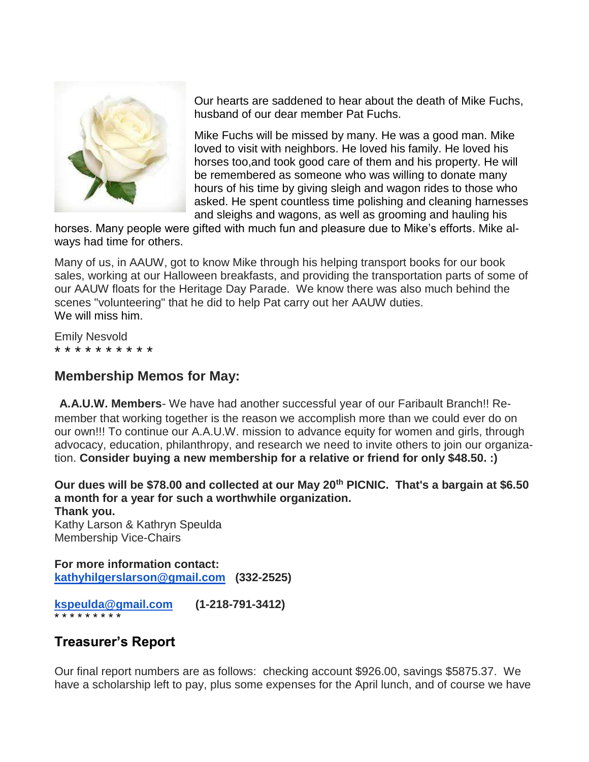

Our hearts are saddened to hear about the death of Mike Fuchs, husband of our dear member Pat Fuchs.

Mike Fuchs will be missed by many. He was a good man. Mike loved to visit with neighbors. He loved his family. He loved his horses too,and took good care of them and his property. He will be remembered as someone who was willing to donate many hours of his time by giving sleigh and wagon rides to those who asked. He spent countless time polishing and cleaning harnesses and sleighs and wagons, as well as grooming and hauling his

horses. Many people were gifted with much fun and pleasure due to Mike's efforts. Mike always had time for others.

Many of us, in AAUW, got to know Mike through his helping transport books for our book sales, working at our Halloween breakfasts, and providing the transportation parts of some of our AAUW floats for the Heritage Day Parade. We know there was also much behind the scenes "volunteering" that he did to help Pat carry out her AAUW duties. We will miss him.

Emily Nesvold \* \* \* \* \* \* \* \* \* \*

#### **Membership Memos for May:**

**A.A.U.W. Members**- We have had another successful year of our Faribault Branch!! Remember that working together is the reason we accomplish more than we could ever do on our own!!! To continue our A.A.U.W. mission to advance equity for women and girls, through advocacy, education, philanthropy, and research we need to invite others to join our organization. **Consider buying a new membership for a relative or friend for only \$48.50. :)**

**Our dues will be \$78.00 and collected at our May 20th PICNIC. That's a bargain at \$6.50 a month for a year for such a worthwhile organization.**

**Thank you.** Kathy Larson & Kathryn Speulda Membership Vice-Chairs

**For more information contact: [kathyhilgerslarson@gmail.com](mailto:kathyhilgerslarson@gmail.com) (332-2525)**

**[kspeulda@gmail.com](mailto:kspeulda@gmail.com) (1-218-791-3412)** \* \* \* \* \* \* \* \* \*

## **Treasurer's Report**

Our final report numbers are as follows: checking account \$926.00, savings \$5875.37. We have a scholarship left to pay, plus some expenses for the April lunch, and of course we have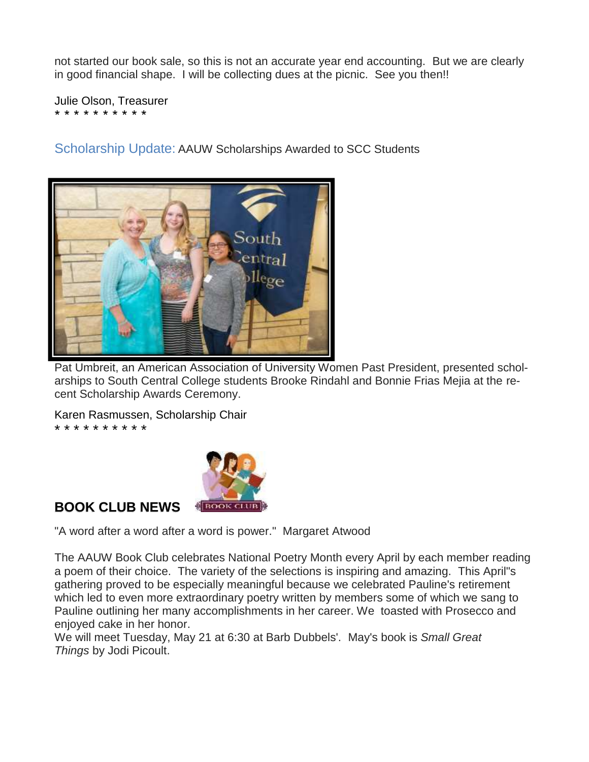not started our book sale, so this is not an accurate year end accounting. But we are clearly in good financial shape. I will be collecting dues at the picnic. See you then!!

Julie Olson, Treasurer \* \* \* \* \* \* \* \* \* \*

Scholarship Update: AAUW Scholarships Awarded to SCC Students



Pat Umbreit, an American Association of University Women Past President, presented scholarships to South Central College students Brooke Rindahl and Bonnie Frias Mejia at the recent Scholarship Awards Ceremony.

Karen Rasmussen, Scholarship Chair

\* \* \* \* \* \* \* \* \* \*



## **BOOK CLUB NEWS**

"A word after a word after a word is power." Margaret Atwood

The AAUW Book Club celebrates National Poetry Month every April by each member reading a poem of their choice. The variety of the selections is inspiring and amazing. This April"s gathering proved to be especially meaningful because we celebrated Pauline's retirement which led to even more extraordinary poetry written by members some of which we sang to Pauline outlining her many accomplishments in her career. We toasted with Prosecco and enjoyed cake in her honor.

We will meet Tuesday, May 21 at 6:30 at Barb Dubbels'. May's book is *Small Great Things* by Jodi Picoult.